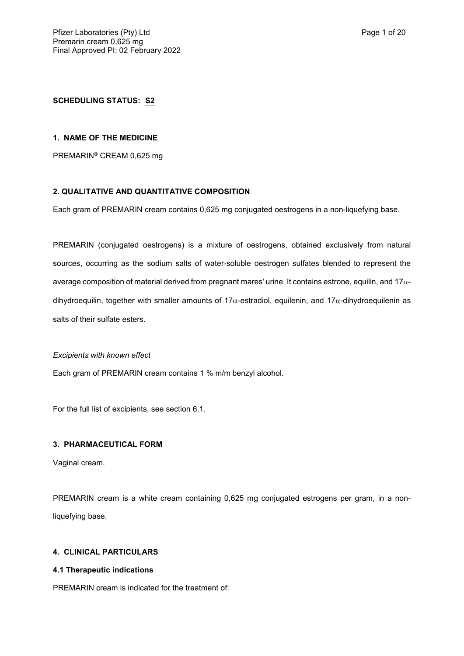## **SCHEDULING STATUS: S2**

#### **1. NAME OF THE MEDICINE**

PREMARIN® CREAM 0,625 mg

### **2. QUALITATIVE AND QUANTITATIVE COMPOSITION**

Each gram of PREMARIN cream contains 0,625 mg conjugated oestrogens in a non-liquefying base.

PREMARIN (conjugated oestrogens) is a mixture of oestrogens, obtained exclusively from natural sources, occurring as the sodium salts of water-soluble oestrogen sulfates blended to represent the average composition of material derived from pregnant mares' urine. It contains estrone, equilin, and 17 $\alpha$ dihydroequilin, together with smaller amounts of 17 $\alpha$ -estradiol, equilenin, and 17 $\alpha$ -dihydroequilenin as salts of their sulfate esters.

*Excipients with known effect*

Each gram of PREMARIN cream contains 1 % m/m benzyl alcohol.

For the full list of excipients, see section 6.1.

## **3. PHARMACEUTICAL FORM**

Vaginal cream.

PREMARIN cream is a white cream containing 0,625 mg conjugated estrogens per gram, in a nonliquefying base.

## **4. CLINICAL PARTICULARS**

### **4.1 Therapeutic indications**

PREMARIN cream is indicated for the treatment of: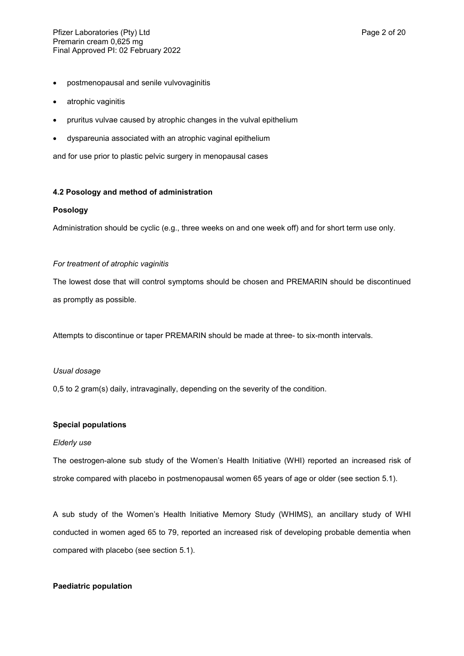- postmenopausal and senile vulvovaginitis
- atrophic vaginitis
- pruritus vulvae caused by atrophic changes in the vulval epithelium
- dyspareunia associated with an atrophic vaginal epithelium

and for use prior to plastic pelvic surgery in menopausal cases

### **4.2 Posology and method of administration**

### **Posology**

Administration should be cyclic (e.g., three weeks on and one week off) and for short term use only.

### *For treatment of atrophic vaginitis*

The lowest dose that will control symptoms should be chosen and PREMARIN should be discontinued as promptly as possible.

Attempts to discontinue or taper PREMARIN should be made at three- to six-month intervals.

### *Usual dosage*

0,5 to 2 gram(s) daily, intravaginally, depending on the severity of the condition.

### **Special populations**

### *Elderly use*

The oestrogen-alone sub study of the Women's Health Initiative (WHI) reported an increased risk of stroke compared with placebo in postmenopausal women 65 years of age or older (see section 5.1).

A sub study of the Women's Health Initiative Memory Study (WHIMS), an ancillary study of WHI conducted in women aged 65 to 79, reported an increased risk of developing probable dementia when compared with placebo (see section 5.1).

### **Paediatric population**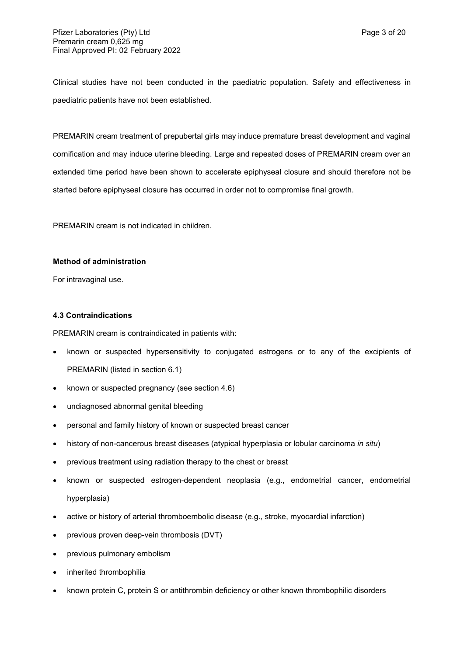Clinical studies have not been conducted in the paediatric population. Safety and effectiveness in paediatric patients have not been established.

PREMARIN cream treatment of prepubertal girls may induce premature breast development and vaginal cornification and may induce uterine bleeding. Large and repeated doses of PREMARIN cream over an extended time period have been shown to accelerate epiphyseal closure and should therefore not be started before epiphyseal closure has occurred in order not to compromise final growth.

PREMARIN cream is not indicated in children.

## **Method of administration**

For intravaginal use.

## **4.3 Contraindications**

PREMARIN cream is contraindicated in patients with:

- known or suspected hypersensitivity to conjugated estrogens or to any of the excipients of PREMARIN (listed in section 6.1)
- known or suspected pregnancy (see section 4.6)
- undiagnosed abnormal genital bleeding
- personal and family history of known or suspected breast cancer
- history of non-cancerous breast diseases (atypical hyperplasia or lobular carcinoma *in situ*)
- previous treatment using radiation therapy to the chest or breast
- known or suspected estrogen-dependent neoplasia (e.g., endometrial cancer, endometrial hyperplasia)
- active or history of arterial thromboembolic disease (e.g., stroke, myocardial infarction)
- previous proven deep-vein thrombosis (DVT)
- previous pulmonary embolism
- inherited thrombophilia
- known protein C, protein S or antithrombin deficiency or other known thrombophilic disorders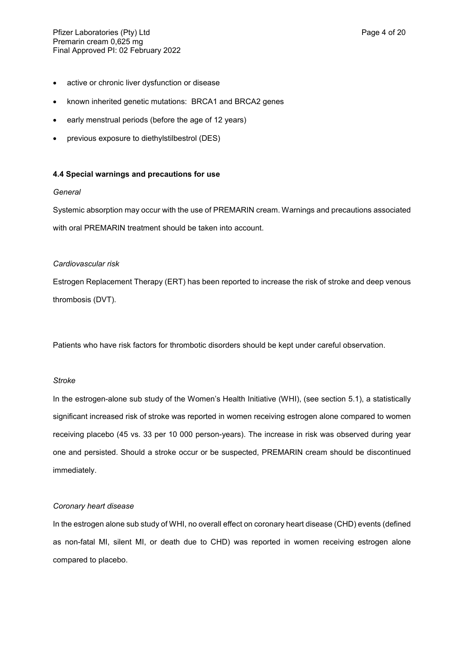- active or chronic liver dysfunction or disease
- known inherited genetic mutations: BRCA1 and BRCA2 genes
- early menstrual periods (before the age of 12 years)
- previous exposure to diethylstilbestrol (DES)

### **4.4 Special warnings and precautions for use**

### *General*

Systemic absorption may occur with the use of PREMARIN cream. Warnings and precautions associated with oral PREMARIN treatment should be taken into account.

### *Cardiovascular risk*

Estrogen Replacement Therapy (ERT) has been reported to increase the risk of stroke and deep venous thrombosis (DVT).

Patients who have risk factors for thrombotic disorders should be kept under careful observation.

### *Stroke*

In the estrogen-alone sub study of the Women's Health Initiative (WHI), (see section 5.1), a statistically significant increased risk of stroke was reported in women receiving estrogen alone compared to women receiving placebo (45 vs. 33 per 10 000 person-years). The increase in risk was observed during year one and persisted. Should a stroke occur or be suspected, PREMARIN cream should be discontinued immediately.

### *Coronary heart disease*

In the estrogen alone sub study of WHI, no overall effect on coronary heart disease (CHD) events (defined as non-fatal MI, silent MI, or death due to CHD) was reported in women receiving estrogen alone compared to placebo.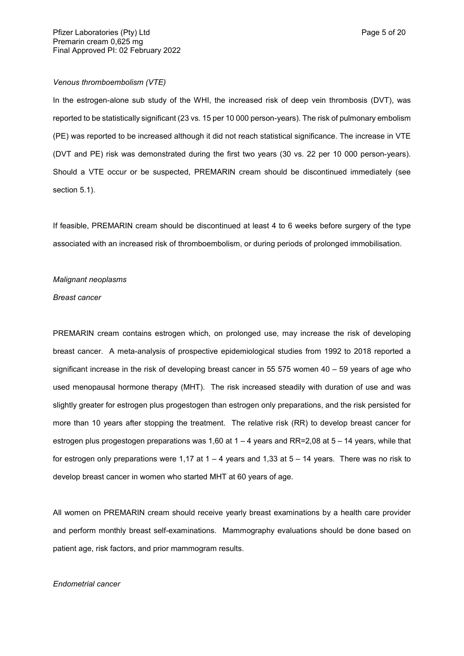### *Venous thromboembolism (VTE)*

In the estrogen-alone sub study of the WHI, the increased risk of deep vein thrombosis (DVT), was reported to be statistically significant (23 vs. 15 per 10 000 person-years). The risk of pulmonary embolism (PE) was reported to be increased although it did not reach statistical significance. The increase in VTE (DVT and PE) risk was demonstrated during the first two years (30 vs. 22 per 10 000 person-years). Should a VTE occur or be suspected, PREMARIN cream should be discontinued immediately (see section 5.1).

If feasible, PREMARIN cream should be discontinued at least 4 to 6 weeks before surgery of the type associated with an increased risk of thromboembolism, or during periods of prolonged immobilisation.

#### *Malignant neoplasms*

#### *Breast cancer*

PREMARIN cream contains estrogen which, on prolonged use, may increase the risk of developing breast cancer. A meta-analysis of prospective epidemiological studies from 1992 to 2018 reported a significant increase in the risk of developing breast cancer in 55 575 women 40 – 59 years of age who used menopausal hormone therapy (MHT). The risk increased steadily with duration of use and was slightly greater for estrogen plus progestogen than estrogen only preparations, and the risk persisted for more than 10 years after stopping the treatment. The relative risk (RR) to develop breast cancer for estrogen plus progestogen preparations was 1,60 at 1 – 4 years and RR=2,08 at 5 – 14 years, while that for estrogen only preparations were 1,17 at  $1 - 4$  years and 1,33 at  $5 - 14$  years. There was no risk to develop breast cancer in women who started MHT at 60 years of age.

All women on PREMARIN cream should receive yearly breast examinations by a health care provider and perform monthly breast self-examinations. Mammography evaluations should be done based on patient age, risk factors, and prior mammogram results.

#### *Endometrial cancer*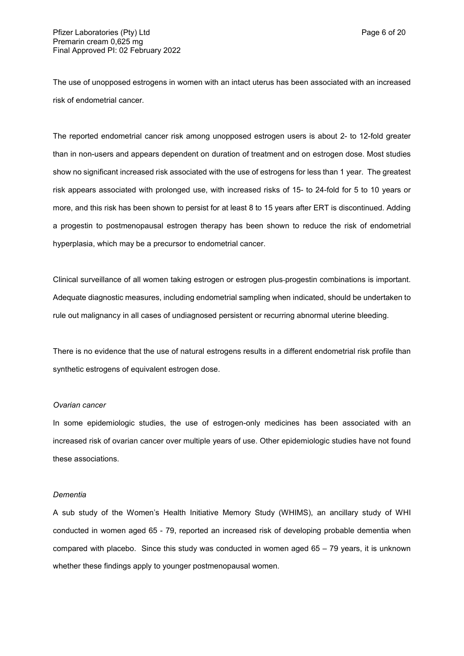The use of unopposed estrogens in women with an intact uterus has been associated with an increased risk of endometrial cancer*.*

The reported endometrial cancer risk among unopposed estrogen users is about 2- to 12-fold greater than in non-users and appears dependent on duration of treatment and on estrogen dose. Most studies show no significant increased risk associated with the use of estrogens for less than 1 year. The greatest risk appears associated with prolonged use, with increased risks of 15- to 24-fold for 5 to 10 years or more, and this risk has been shown to persist for at least 8 to 15 years after ERT is discontinued. Adding a progestin to postmenopausal estrogen therapy has been shown to reduce the risk of endometrial hyperplasia, which may be a precursor to endometrial cancer.

Clinical surveillance of all women taking estrogen or estrogen plus-progestin combinations is important. Adequate diagnostic measures, including endometrial sampling when indicated, should be undertaken to rule out malignancy in all cases of undiagnosed persistent or recurring abnormal uterine bleeding.

There is no evidence that the use of natural estrogens results in a different endometrial risk profile than synthetic estrogens of equivalent estrogen dose.

#### *Ovarian cancer*

In some epidemiologic studies, the use of estrogen-only medicines has been associated with an increased risk of ovarian cancer over multiple years of use. Other epidemiologic studies have not found these associations.

#### *Dementia*

A sub study of the Women's Health Initiative Memory Study (WHIMS), an ancillary study of WHI conducted in women aged 65 - 79, reported an increased risk of developing probable dementia when compared with placebo. Since this study was conducted in women aged 65 – 79 years, it is unknown whether these findings apply to younger postmenopausal women.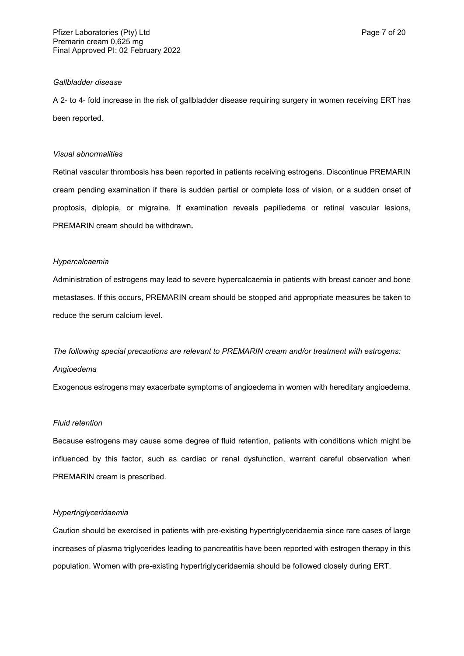A 2- to 4- fold increase in the risk of gallbladder disease requiring surgery in women receiving ERT has been reported.

#### *Visual abnormalities*

Retinal vascular thrombosis has been reported in patients receiving estrogens. Discontinue PREMARIN cream pending examination if there is sudden partial or complete loss of vision, or a sudden onset of proptosis, diplopia, or migraine. If examination reveals papilledema or retinal vascular lesions, PREMARIN cream should be withdrawn**.**

#### *Hypercalcaemia*

Administration of estrogens may lead to severe hypercalcaemia in patients with breast cancer and bone metastases. If this occurs, PREMARIN cream should be stopped and appropriate measures be taken to reduce the serum calcium level.

*The following special precautions are relevant to PREMARIN cream and/or treatment with estrogens: Angioedema*

Exogenous estrogens may exacerbate symptoms of angioedema in women with hereditary angioedema.

## *Fluid retention*

Because estrogens may cause some degree of fluid retention, patients with conditions which might be influenced by this factor, such as cardiac or renal dysfunction, warrant careful observation when PREMARIN cream is prescribed.

#### *Hypertriglyceridaemia*

Caution should be exercised in patients with pre-existing hypertriglyceridaemia since rare cases of large increases of plasma triglycerides leading to pancreatitis have been reported with estrogen therapy in this population. Women with pre-existing hypertriglyceridaemia should be followed closely during ERT.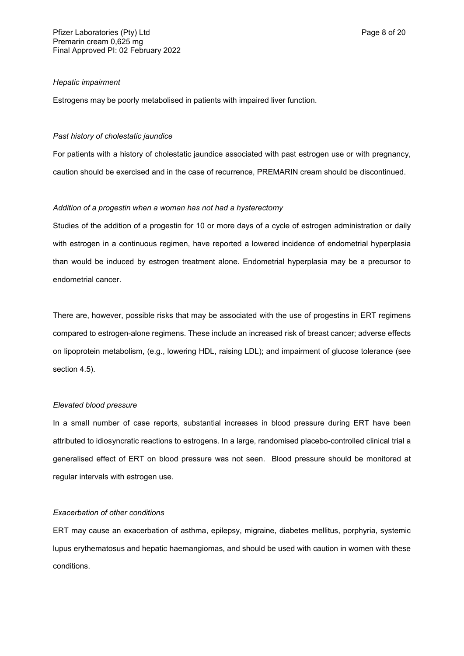#### *Hepatic impairment*

Estrogens may be poorly metabolised in patients with impaired liver function.

#### *Past history of cholestatic jaundice*

For patients with a history of cholestatic jaundice associated with past estrogen use or with pregnancy, caution should be exercised and in the case of recurrence, PREMARIN cream should be discontinued.

#### *Addition of a progestin when a woman has not had a hysterectomy*

Studies of the addition of a progestin for 10 or more days of a cycle of estrogen administration or daily with estrogen in a continuous regimen, have reported a lowered incidence of endometrial hyperplasia than would be induced by estrogen treatment alone. Endometrial hyperplasia may be a precursor to endometrial cancer.

There are, however, possible risks that may be associated with the use of progestins in ERT regimens compared to estrogen-alone regimens. These include an increased risk of breast cancer; adverse effects on lipoprotein metabolism, (e.g., lowering HDL, raising LDL); and impairment of glucose tolerance (see section 4.5).

#### *Elevated blood pressure*

In a small number of case reports, substantial increases in blood pressure during ERT have been attributed to idiosyncratic reactions to estrogens. In a large, randomised placebo-controlled clinical trial a generalised effect of ERT on blood pressure was not seen. Blood pressure should be monitored at regular intervals with estrogen use.

### *Exacerbation of other conditions*

ERT may cause an exacerbation of asthma, epilepsy, migraine, diabetes mellitus, porphyria, systemic lupus erythematosus and hepatic haemangiomas, and should be used with caution in women with these conditions.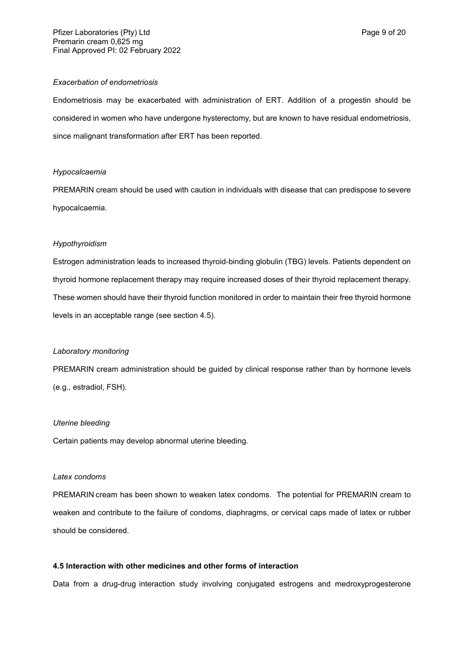#### *Exacerbation of endometriosis*

Endometriosis may be exacerbated with administration of ERT. Addition of a progestin should be considered in women who have undergone hysterectomy, but are known to have residual endometriosis, since malignant transformation after ERT has been reported.

### *Hypocalcaemia*

PREMARIN cream should be used with caution in individuals with disease that can predispose to severe hypocalcaemia.

## *Hypothyroidism*

Estrogen administration leads to increased thyroid-binding globulin (TBG) levels. Patients dependent on thyroid hormone replacement therapy may require increased doses of their thyroid replacement therapy. These women should have their thyroid function monitored in order to maintain their free thyroid hormone levels in an acceptable range (see section 4.5).

### *Laboratory monitoring*

PREMARIN cream administration should be guided by clinical response rather than by hormone levels (e.g., estradiol, FSH).

### *Uterine bleeding*

Certain patients may develop abnormal uterine bleeding.

### *Latex condoms*

PREMARIN cream has been shown to weaken latex condoms. The potential for PREMARIN cream to weaken and contribute to the failure of condoms, diaphragms, or cervical caps made of latex or rubber should be considered.

## **4.5 Interaction with other medicines and other forms of interaction**

Data from a drug-drug interaction study involving conjugated estrogens and medroxyprogesterone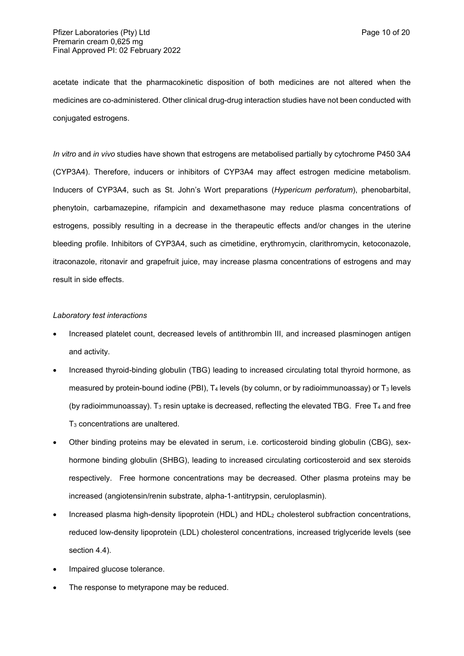acetate indicate that the pharmacokinetic disposition of both medicines are not altered when the medicines are co-administered. Other clinical drug-drug interaction studies have not been conducted with conjugated estrogens.

*In vitro* and *in vivo* studies have shown that estrogens are metabolised partially by cytochrome P450 3A4 (CYP3A4). Therefore, inducers or inhibitors of CYP3A4 may affect estrogen medicine metabolism. Inducers of CYP3A4, such as St. John's Wort preparations (*Hypericum perforatum*), phenobarbital, phenytoin, carbamazepine, rifampicin and dexamethasone may reduce plasma concentrations of estrogens, possibly resulting in a decrease in the therapeutic effects and/or changes in the uterine bleeding profile. Inhibitors of CYP3A4, such as cimetidine, erythromycin, clarithromycin, ketoconazole, itraconazole, ritonavir and grapefruit juice, may increase plasma concentrations of estrogens and may result in side effects.

### *Laboratory test interactions*

- Increased platelet count, decreased levels of antithrombin III, and increased plasminogen antigen and activity.
- Increased thyroid-binding globulin (TBG) leading to increased circulating total thyroid hormone, as measured by protein-bound iodine (PBI),  $T_4$  levels (by column, or by radioimmunoassay) or  $T_3$  levels (by radioimmunoassay). T<sub>3</sub> resin uptake is decreased, reflecting the elevated TBG. Free  $T_4$  and free T<sup>3</sup> concentrations are unaltered.
- Other binding proteins may be elevated in serum, i.e. corticosteroid binding globulin (CBG), sexhormone binding globulin (SHBG), leading to increased circulating corticosteroid and sex steroids respectively. Free hormone concentrations may be decreased. Other plasma proteins may be increased (angiotensin/renin substrate, alpha-1-antitrypsin, ceruloplasmin).
- Increased plasma high-density lipoprotein (HDL) and HDL<sup>2</sup> cholesterol subfraction concentrations, reduced low-density lipoprotein (LDL) cholesterol concentrations, increased triglyceride levels (see section 4.4).
- Impaired glucose tolerance.
- The response to metyrapone may be reduced.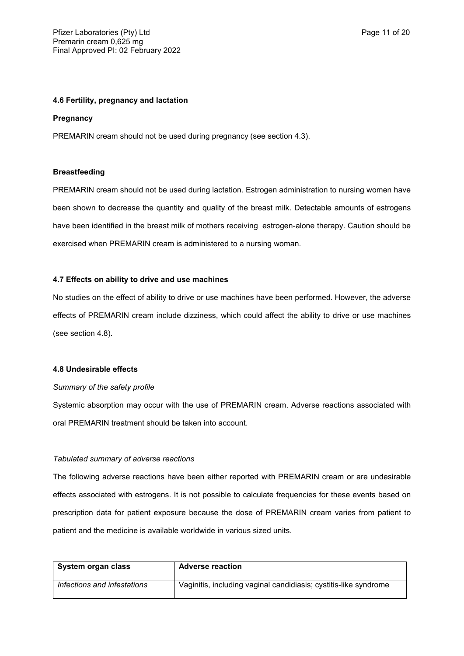### **4.6 Fertility, pregnancy and lactation**

### **Pregnancy**

PREMARIN cream should not be used during pregnancy (see section 4.3).

#### **Breastfeeding**

PREMARIN cream should not be used during lactation. Estrogen administration to nursing women have been shown to decrease the quantity and quality of the breast milk. Detectable amounts of estrogens have been identified in the breast milk of mothers receiving estrogen-alone therapy. Caution should be exercised when PREMARIN cream is administered to a nursing woman.

### **4.7 Effects on ability to drive and use machines**

No studies on the effect of ability to drive or use machines have been performed. However, the adverse effects of PREMARIN cream include dizziness, which could affect the ability to drive or use machines (see section 4.8).

#### **4.8 Undesirable effects**

### *Summary of the safety profile*

Systemic absorption may occur with the use of PREMARIN cream. Adverse reactions associated with oral PREMARIN treatment should be taken into account.

### *Tabulated summary of adverse reactions*

The following adverse reactions have been either reported with PREMARIN cream or are undesirable effects associated with estrogens. It is not possible to calculate frequencies for these events based on prescription data for patient exposure because the dose of PREMARIN cream varies from patient to patient and the medicine is available worldwide in various sized units.

| System organ class          | <b>Adverse reaction</b>                                          |
|-----------------------------|------------------------------------------------------------------|
| Infections and infestations | Vaginitis, including vaginal candidiasis; cystitis-like syndrome |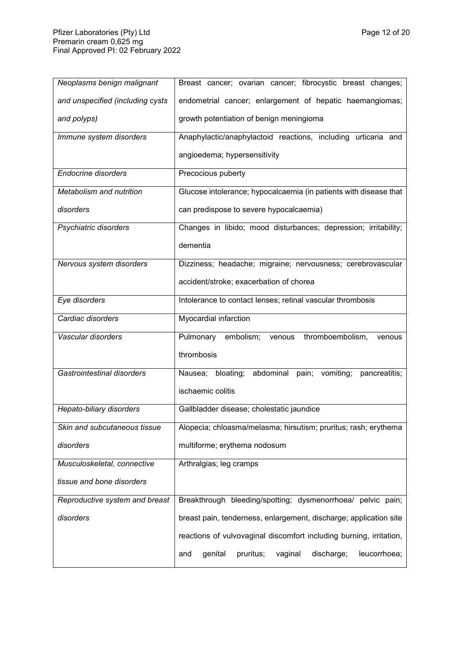| Neoplasms benign malignant       | Breast cancer; ovarian cancer; fibrocystic breast changes;           |  |  |  |
|----------------------------------|----------------------------------------------------------------------|--|--|--|
| and unspecified (including cysts | endometrial cancer; enlargement of hepatic haemangiomas;             |  |  |  |
| and polyps)                      | growth potentiation of benign meningioma                             |  |  |  |
| Immune system disorders          | Anaphylactic/anaphylactoid reactions, including urticaria and        |  |  |  |
|                                  | angioedema; hypersensitivity                                         |  |  |  |
| <b>Endocrine disorders</b>       | Precocious puberty                                                   |  |  |  |
| Metabolism and nutrition         | Glucose intolerance; hypocalcaemia (in patients with disease that    |  |  |  |
| disorders                        | can predispose to severe hypocalcaemia)                              |  |  |  |
| Psychiatric disorders            | Changes in libido; mood disturbances; depression; irritability;      |  |  |  |
|                                  | dementia                                                             |  |  |  |
| Nervous system disorders         | Dizziness; headache; migraine; nervousness; cerebrovascular          |  |  |  |
|                                  | accident/stroke; exacerbation of chorea                              |  |  |  |
| Eye disorders                    | Intolerance to contact lenses; retinal vascular thrombosis           |  |  |  |
| Cardiac disorders                | Myocardial infarction                                                |  |  |  |
| Vascular disorders               | embolism; venous thromboembolism,<br>Pulmonary<br>venous             |  |  |  |
|                                  | thrombosis                                                           |  |  |  |
| Gastrointestinal disorders       | Nausea; bloating; abdominal pain; vomiting;<br>pancreatitis;         |  |  |  |
|                                  | ischaemic colitis                                                    |  |  |  |
| Hepato-biliary disorders         | Gallbladder disease; cholestatic jaundice                            |  |  |  |
| Skin and subcutaneous tissue     | Alopecia; chloasma/melasma; hirsutism; pruritus; rash; erythema      |  |  |  |
| disorders                        | multiforme; erythema nodosum                                         |  |  |  |
| Musculoskeletal, connective      | Arthralgias; leg cramps                                              |  |  |  |
| tissue and bone disorders        |                                                                      |  |  |  |
| Reproductive system and breast   | Breakthrough bleeding/spotting; dysmenorrhoea/<br>pelvic pain;       |  |  |  |
| disorders                        | breast pain, tenderness, enlargement, discharge; application site    |  |  |  |
|                                  | reactions of vulvovaginal discomfort including burning, irritation,  |  |  |  |
|                                  | genital<br>pruritus;<br>vaginal<br>discharge;<br>leucorrhoea;<br>and |  |  |  |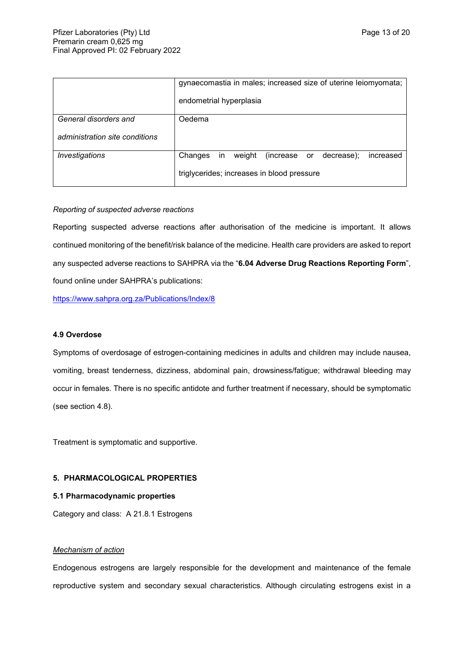|                                | gynaecomastia in males; increased size of uterine leiomyomata;      |  |  |  |  |
|--------------------------------|---------------------------------------------------------------------|--|--|--|--|
|                                | endometrial hyperplasia                                             |  |  |  |  |
| General disorders and          | Oedema                                                              |  |  |  |  |
| administration site conditions |                                                                     |  |  |  |  |
| Investigations                 | Changes<br>weight<br>in.<br>(increase or<br>decrease);<br>increased |  |  |  |  |
|                                | triglycerides; increases in blood pressure                          |  |  |  |  |

### *Reporting of suspected adverse reactions*

Reporting suspected adverse reactions after authorisation of the medicine is important. It allows continued monitoring of the benefit/risk balance of the medicine. Health care providers are asked to report any suspected adverse reactions to SAHPRA via the "**6.04 Adverse Drug Reactions Reporting Form**", found online under SAHPRA's publications:

<https://www.sahpra.org.za/Publications/Index/8>

### **4.9 Overdose**

Symptoms of overdosage of estrogen-containing medicines in adults and children may include nausea, vomiting, breast tenderness, dizziness, abdominal pain, drowsiness/fatigue; withdrawal bleeding may occur in females. There is no specific antidote and further treatment if necessary, should be symptomatic (see section 4.8).

Treatment is symptomatic and supportive.

## **5. PHARMACOLOGICAL PROPERTIES**

### **5.1 Pharmacodynamic properties**

Category and class:A 21.8.1 Estrogens

## *Mechanism of action*

Endogenous estrogens are largely responsible for the development and maintenance of the female reproductive system and secondary sexual characteristics. Although circulating estrogens exist in a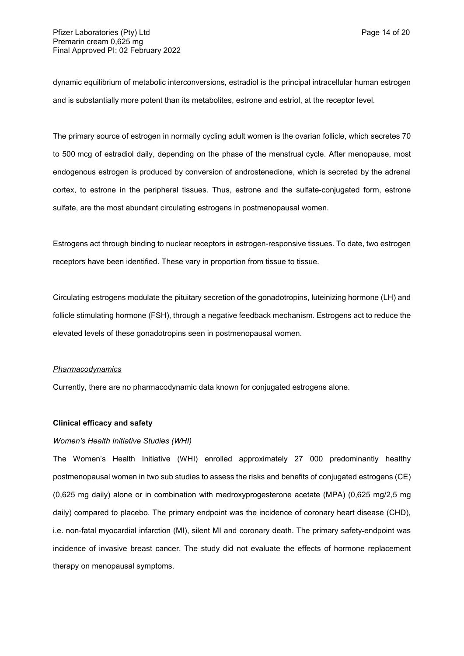dynamic equilibrium of metabolic interconversions, estradiol is the principal intracellular human estrogen and is substantially more potent than its metabolites, estrone and estriol, at the receptor level.

The primary source of estrogen in normally cycling adult women is the ovarian follicle, which secretes 70 to 500 mcg of estradiol daily, depending on the phase of the menstrual cycle. After menopause, most endogenous estrogen is produced by conversion of androstenedione, which is secreted by the adrenal cortex, to estrone in the peripheral tissues. Thus, estrone and the sulfate-conjugated form, estrone sulfate, are the most abundant circulating estrogens in postmenopausal women.

Estrogens act through binding to nuclear receptors in estrogen-responsive tissues. To date, two estrogen receptors have been identified. These vary in proportion from tissue to tissue.

Circulating estrogens modulate the pituitary secretion of the gonadotropins, luteinizing hormone (LH) and follicle stimulating hormone (FSH), through a negative feedback mechanism. Estrogens act to reduce the elevated levels of these gonadotropins seen in postmenopausal women.

#### *Pharmacodynamics*

Currently, there are no pharmacodynamic data known for conjugated estrogens alone.

## **Clinical efficacy and safety**

### *Women's Health Initiative Studies (WHI)*

The Women's Health Initiative (WHI) enrolled approximately 27 000 predominantly healthy postmenopausal women in two sub studies to assess the risks and benefits of conjugated estrogens (CE) (0,625 mg daily) alone or in combination with medroxyprogesterone acetate (MPA) (0,625 mg/2,5 mg daily) compared to placebo. The primary endpoint was the incidence of coronary heart disease (CHD), i.e. non-fatal myocardial infarction (MI), silent MI and coronary death. The primary safety endpoint was incidence of invasive breast cancer. The study did not evaluate the effects of hormone replacement therapy on menopausal symptoms.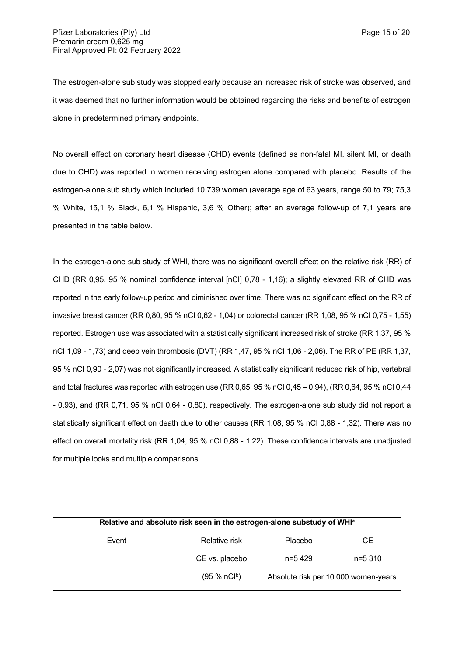The estrogen-alone sub study was stopped early because an increased risk of stroke was observed, and it was deemed that no further information would be obtained regarding the risks and benefits of estrogen alone in predetermined primary endpoints.

No overall effect on coronary heart disease (CHD) events (defined as non-fatal MI, silent MI, or death due to CHD) was reported in women receiving estrogen alone compared with placebo. Results of the estrogen-alone sub study which included 10 739 women (average age of 63 years, range 50 to 79; 75,3 % White, 15,1 % Black, 6,1 % Hispanic, 3,6 % Other); after an average follow-up of 7,1 years are presented in the table below.

In the estrogen-alone sub study of WHI, there was no significant overall effect on the relative risk (RR) of CHD (RR 0,95, 95 % nominal confidence interval [nCI] 0,78 - 1,16); a slightly elevated RR of CHD was reported in the early follow-up period and diminished over time. There was no significant effect on the RR of invasive breast cancer (RR 0,80, 95 % nCI 0,62 - 1,04) or colorectal cancer (RR 1,08, 95 % nCI 0,75 - 1,55) reported. Estrogen use was associated with a statistically significant increased risk of stroke (RR 1,37, 95 % nCI 1,09 - 1,73) and deep vein thrombosis (DVT) (RR 1,47, 95 % nCI 1,06 - 2,06). The RR of PE (RR 1,37, 95 % nCI 0,90 - 2,07) was not significantly increased. A statistically significant reduced risk of hip, vertebral and total fractures was reported with estrogen use (RR 0,65, 95 % nCI 0,45 – 0,94), (RR 0,64, 95 % nCI 0,44 - 0,93), and (RR 0,71, 95 % nCI 0,64 - 0,80), respectively. The estrogen-alone sub study did not report a statistically significant effect on death due to other causes (RR 1,08, 95 % nCI 0,88 - 1,32). There was no effect on overall mortality risk (RR 1,04, 95 % nCI 0,88 - 1,22). These confidence intervals are unadjusted for multiple looks and multiple comparisons.

| Relative and absolute risk seen in the estrogen-alone substudy of WHI <sup>a</sup> |                          |                                      |          |  |  |
|------------------------------------------------------------------------------------|--------------------------|--------------------------------------|----------|--|--|
| Event                                                                              | Relative risk            | Placebo                              | CE.      |  |  |
|                                                                                    | CE vs. placebo           | n=5429                               | $n=5310$ |  |  |
|                                                                                    | (95 % nCl <sup>b</sup> ) | Absolute risk per 10 000 women-years |          |  |  |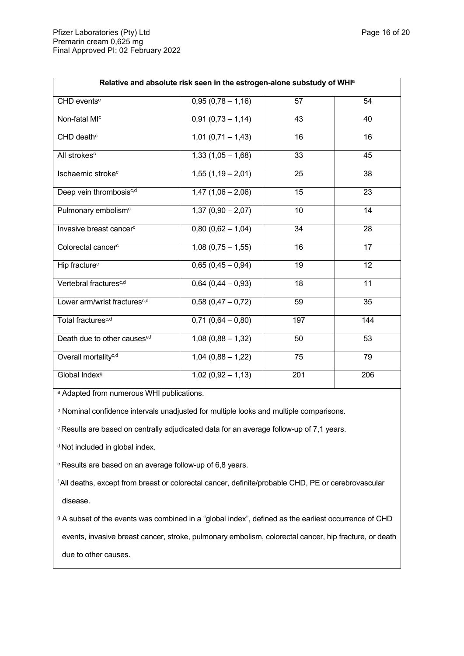| Relative and absolute risk seen in the estrogen-alone substudy of WHI <sup>a</sup> |                     |     |                 |  |  |
|------------------------------------------------------------------------------------|---------------------|-----|-----------------|--|--|
| CHD events <sup>c</sup>                                                            | $0,95(0,78-1,16)$   | 57  | 54              |  |  |
| Non-fatal MI <sup>c</sup>                                                          | $0,91(0,73 - 1,14)$ | 43  | 40              |  |  |
| CHD death <sup>c</sup>                                                             | $1,01(0,71-1,43)$   | 16  | 16              |  |  |
| All strokes <sup>c</sup>                                                           | $1,33(1,05-1,68)$   | 33  | 45              |  |  |
| Ischaemic stroke <sup>c</sup>                                                      | $1,55(1,19-2,01)$   | 25  | 38              |  |  |
| Deep vein thrombosisc,d                                                            | $1,47(1,06 - 2,06)$ | 15  | 23              |  |  |
| Pulmonary embolism <sup>c</sup>                                                    | $1,37(0,90 - 2,07)$ | 10  | 14              |  |  |
| Invasive breast cancer <sup>c</sup>                                                | $0,80(0,62 - 1,04)$ | 34  | 28              |  |  |
| Colorectal cancer <sup>c</sup>                                                     | $1,08(0,75-1,55)$   | 16  | 17              |  |  |
| Hip fracture <sup>c</sup>                                                          | $0,65(0,45-0,94)$   | 19  | $\overline{12}$ |  |  |
| Vertebral fractures <sup>c,d</sup>                                                 | $0,64(0,44-0,93)$   | 18  | $\overline{11}$ |  |  |
| Lower arm/wrist fractures <sup>c,d</sup>                                           | $0,58(0,47-0,72)$   | 59  | 35              |  |  |
| Total fractures <sup>c,d</sup>                                                     | $0,71(0,64-0,80)$   | 197 | 144             |  |  |
| Death due to other causese,f                                                       | $1,08(0,88 - 1,32)$ | 50  | 53              |  |  |
| Overall mortality <sup>c,d</sup>                                                   | $1,04(0,88 - 1,22)$ | 75  | 79              |  |  |
| Global Index <sup>9</sup>                                                          | $1,02(0,92-1,13)$   | 201 | 206             |  |  |

a Adapted from numerous WHI publications.

**b Nominal confidence intervals unadjusted for multiple looks and multiple comparisons.** 

<sup>c</sup>Results are based on centrally adjudicated data for an average follow-up of 7,1 years.

<sup>d</sup> Not included in global index.

e Results are based on an average follow-up of 6,8 years.

<sup>f</sup>All deaths, except from breast or colorectal cancer, definite/probable CHD, PE or cerebrovascular disease.

g A subset of the events was combined in a "global index", defined as the earliest occurrence of CHD events, invasive breast cancer, stroke, pulmonary embolism, colorectal cancer, hip fracture, or death due to other causes.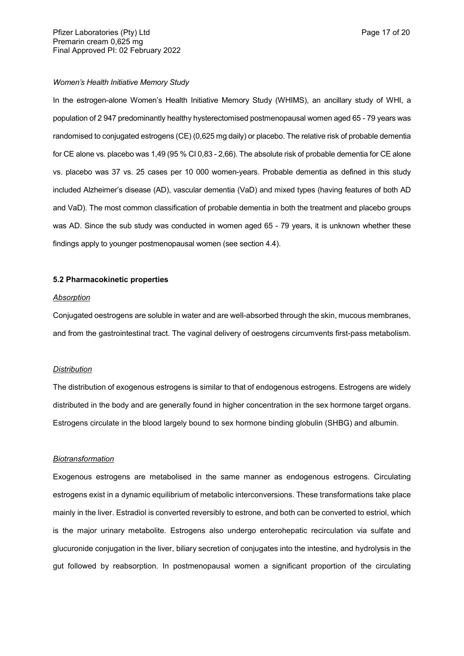### *Women's Health Initiative Memory Study*

In the estrogen-alone Women's Health Initiative Memory Study (WHIMS), an ancillary study of WHI, a population of 2 947 predominantly healthy hysterectomised postmenopausal women aged 65 - 79 years was randomised to conjugated estrogens (CE) (0,625 mg daily) or placebo. The relative risk of probable dementia for CE alone vs. placebo was 1,49 (95 % CI 0,83 - 2,66). The absolute risk of probable dementia for CE alone vs. placebo was 37 vs. 25 cases per 10 000 women-years. Probable dementia as defined in this study included Alzheimer's disease (AD), vascular dementia (VaD) and mixed types (having features of both AD and VaD). The most common classification of probable dementia in both the treatment and placebo groups was AD. Since the sub study was conducted in women aged 65 - 79 years, it is unknown whether these findings apply to younger postmenopausal women (see section 4.4).

#### **5.2 Pharmacokinetic properties**

#### *Absorption*

Conjugated oestrogens are soluble in water and are well-absorbed through the skin, mucous membranes, and from the gastrointestinal tract. The vaginal delivery of oestrogens circumvents first-pass metabolism.

#### *Distribution*

The distribution of exogenous estrogens is similar to that of endogenous estrogens. Estrogens are widely distributed in the body and are generally found in higher concentration in the sex hormone target organs. Estrogens circulate in the blood largely bound to sex hormone binding globulin (SHBG) and albumin.

#### *Biotransformation*

Exogenous estrogens are metabolised in the same manner as endogenous estrogens. Circulating estrogens exist in a dynamic equilibrium of metabolic interconversions. These transformations take place mainly in the liver. Estradiol is converted reversibly to estrone, and both can be converted to estriol, which is the major urinary metabolite. Estrogens also undergo enterohepatic recirculation via sulfate and glucuronide conjugation in the liver, biliary secretion of conjugates into the intestine, and hydrolysis in the gut followed by reabsorption. In postmenopausal women a significant proportion of the circulating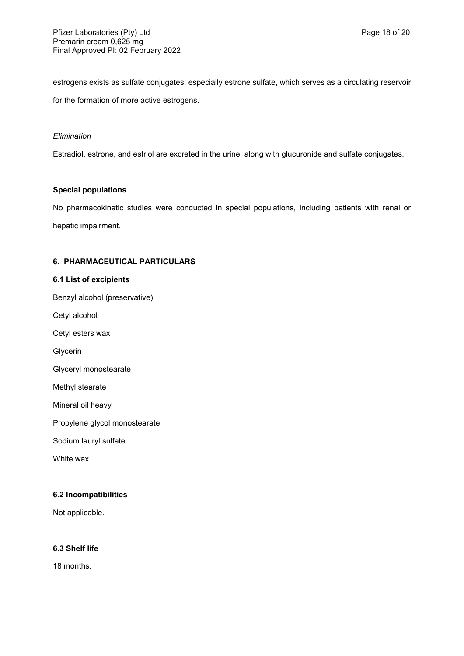estrogens exists as sulfate conjugates, especially estrone sulfate, which serves as a circulating reservoir for the formation of more active estrogens.

### *Elimination*

Estradiol, estrone, and estriol are excreted in the urine, along with glucuronide and sulfate conjugates.

### **Special populations**

No pharmacokinetic studies were conducted in special populations, including patients with renal or hepatic impairment.

## **6. PHARMACEUTICAL PARTICULARS**

## **6.1 List of excipients**

Benzyl alcohol (preservative)

Cetyl alcohol

Cetyl esters wax

Glycerin

Glyceryl monostearate

Methyl stearate

Mineral oil heavy

Propylene glycol monostearate

Sodium lauryl sulfate

White wax

### **6.2 Incompatibilities**

Not applicable.

## **6.3 Shelf life**

18 months.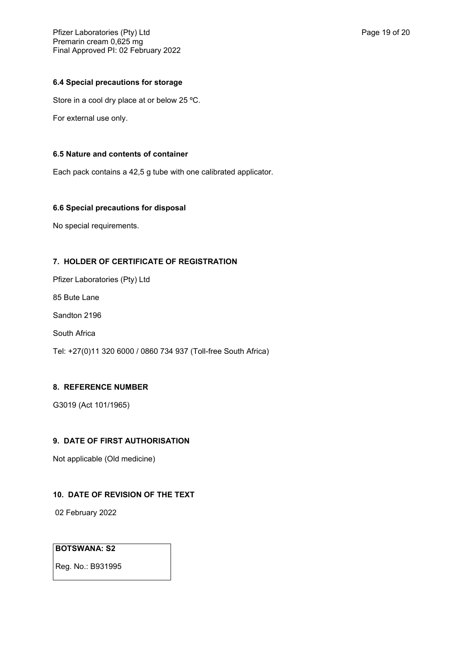## **6.4 Special precautions for storage**

Store in a cool dry place at or below 25 ºC.

For external use only.

## **6.5 Nature and contents of container**

Each pack contains a 42,5 g tube with one calibrated applicator.

## **6.6 Special precautions for disposal**

No special requirements.

## **7. HOLDER OF CERTIFICATE OF REGISTRATION**

Pfizer Laboratories (Pty) Ltd

85 Bute Lane

Sandton 2196

South Africa

Tel: +27(0)11 320 6000 / 0860 734 937 (Toll-free South Africa)

## **8. REFERENCE NUMBER**

G3019 (Act 101/1965)

# **9. DATE OF FIRST AUTHORISATION**

Not applicable (Old medicine)

## **10. DATE OF REVISION OF THE TEXT**

02 February 2022

## **BOTSWANA: S2**

Reg. No.: B931995